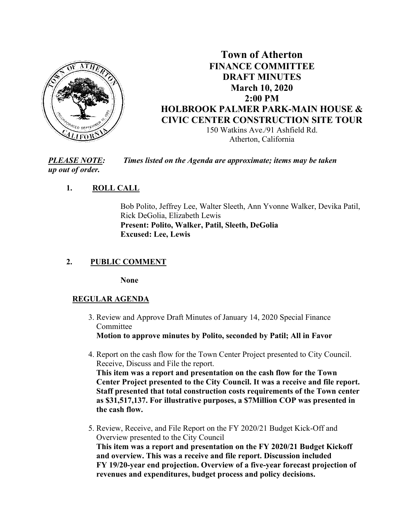

# **Town of Atherton FINANCE COMMITTEE DRAFT MINUTES March 10, 2020 2:00 PM HOLBROOK PALMER PARK-MAIN HOUSE & CIVIC CENTER CONSTRUCTION SITE TOUR** 150 Watkins Ave./91 Ashfield Rd.

Atherton, California

*PLEASE NOTE: Times listed on the Agenda are approximate; items may be taken up out of order.*

# **1. ROLL CALL**

Bob Polito, Jeffrey Lee, Walter Sleeth, Ann Yvonne Walker, Devika Patil, Rick DeGolia, Elizabeth Lewis **Present: Polito, Walker, Patil, Sleeth, DeGolia Excused: Lee, Lewis**

# **2. PUBLIC COMMENT**

**None**

### **REGULAR AGENDA**

- 3. Review and Approve Draft Minutes of January 14, 2020 Special Finance Committee **Motion to approve minutes by Polito, seconded by Patil; All in Favor**
- 4. Report on the cash flow for the Town Center Project presented to City Council. Receive, Discuss and File the report.

**This item was a report and presentation on the cash flow for the Town Center Project presented to the City Council. It was a receive and file report. Staff presented that total construction costs requirements of the Town center as \$31,517,137. For illustrative purposes, a \$7Million COP was presented in the cash flow.** 

 5. Review, Receive, and File Report on the FY 2020/21 Budget Kick-Off and Overview presented to the City Council **This item was a report and presentation on the FY 2020/21 Budget Kickoff and overview. This was a receive and file report. Discussion included FY 19/20-year end projection. Overview of a five-year forecast projection of revenues and expenditures, budget process and policy decisions.**